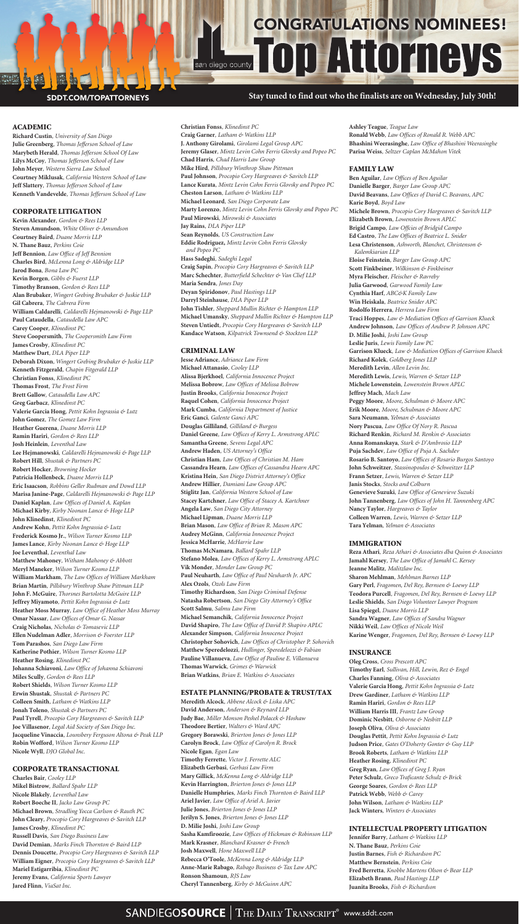# **Stay tuned to find out who the finalists are on Wednesday, July 30th!**

# **ALL CONGRATULATIONS NOMINEES!**

## SDDT.COM/TOPATTORNEYS

## ACADEMIC

**Richard Custin***, University of San Diego* **Julie Greenberg***, Thomas Jefferson School of Law* **Marybeth Herald***, Thomas Jefferson School Of Law* **Lilys McCoy***, Thomas Jefferson School of Law* **John Meyer***, Western Sierra Law School* **Courtney Miklusak***, California Western School of Law* **Jeff Slattery***, Thomas Jefferson School of Law* **Kenneth Vandevelde***, Thomas Jefferson School of Law*

## CORPORATE LITIGATION

**Kevin Alexander***, Gordon & Rees LLP* **Steven Amundson***, White Oliver & Amundson* **Courtney Baird***, Duane Morris LLP* **N. Thane Bauz***, Perkins Coie* **Jeff Bennion***, Law Office of Jeff Bennion* **Charles Bird***, McLenna Long & Aldridge LLP* **Jarod Bona***, Bona Law PC* **Kevin Borgen***, Gibbs & Fuerst LLP* **Timothy Branson***, Gordon & Rees LLP* **Alan Brubaker***, Wingert Grebing Brubaker & Juskie LLP* **Gil Cabrera***, The Cabrera Firm* **William Caldarelli***, Caldarelli Hejmanowski & Page LLP* **Paul Cataudella***, Cataudella Law APC* **Carey Cooper***, Klinedinst PC* **Steve Coopersmith***, The Coopersmith Law Firm* **James Crosby***, Klinedinst PC* **Matthew Dart***, DLA Piper LLP* **Deborah Dixon***, Wingert Grebing Brubaker & Juskie LLP* **Kenneth Fitzgerald***, Chapin Fitgerald LLP* **Christian Fonss***, Klinedinst PC* **Thomas Frost***, The Frost Firm* **Brett Gallow***, Cataudella Law APC* **Greg Garbacz***, Klinedinst PC* **Valerie Garcia Hong***, Pettit Kohn Ingrassia & Lutz* **John Gomez***, The Gomez Law Firm* **Heather Guerena***, Duane Morris LLP* **Ramin Hariri***, Gordon & Rees LLP* **Josh Heinlein***, Leventhal Law* **Lee Hejmanowski***, Caldarelli Hejmanowski & Page LLP* **Robert Hill***, Shustak & Partners PC* **Robert Hocker***, Browning Hocker* **Patricia Hollenbeck***, Duane Morris LLP* **Eric Isaacson***, Robbins Geller Rudman and Dowd LLP* **Marisa Janine-Page***, Caldarelli Hejmanowski & Page LLP* **Daniel Kaplan***, Law Offices of Daniel A. Kaplan* **Michael Kirby***, Kirby Noonan Lance & Hoge LLP* **John Klinedinst***, Klinedinst PC* **Andrew Kohn***, Pettit Kohn Ingrassia & Lutz* **Frederick Kosmo Jr.***, Wilson Turner Kosmo LLP* **James Lance***, Kirby Noonan Lance & Hoge LLP* **Joe Leventhal***, Leventhal Law* **Matthew Mahoney***, Witham Mahoney & Abbott* **Meryl Maneker***, Wilson Turner Kosmo LLP* **William Markham***, The Law Offices of William Markham* **Brian Martin***, Pillsbury Winthrop Shaw Pittman LLP* **John F. McGuire***, Thorsnes Bartolotta McGuire LLP* **Jeffrey Miyamoto***, Pettit Kohn Ingrassia & Lutz* **Heather Moss Murray***, Law Office of Heather Moss Murray* **Omar Nassar***, Law Offices of Omar G. Nassar* **Craig Nicholas***, Nicholas & Tomasevic LLP* **Ellen Nudelman Adler***, Morrison & Foerster LLP* **Tom Parashos***, San Diego Law Firm* **Katherine Pothier***, Wilson Turner Kosmo LLP* **Heather Rosing***, Klinedinst PC* **Johanna Schiavoni***, Law Office of Johanna Schiavoni* **Miles Scully***, Gordon & Rees LLP* **Robert Shields***, Wilson Turner Kosmo LLP* **Erwin Shustak***, Shustak & Partners PC* **Colleen Smith***, Latham & Watkins LLP* **Jonah Toleno***, Shustak & Partners PC* **Paul Tyrell***, Procopio Cory Hargreaves & Savitch LLP* **Joe Villasenor***, Legal Aid Society of San Diego Inc.* **Jacqueline Vinaccia***, Lounsbery Ferguson Altona & Peak LLP* **Robin Wofford***, Wilson Turner Kosmo LLP* **Nicole Wyll***, DJO Global Inc.*

## CORPORATE TRANSACTIONAL

**Charles Bair***, Cooley LLP* **Mikel Bistrow***, Ballard Spahr LLP* **Nicole Blakely***, Leventhal Law* **Robert Boeche II***, Jacko Law Group PC* **Michael Brown***, Stradling Yocca Carlson & Rauth PC* **John Cleary***, Procopio Cory Hargreaves & Savitch LLP* **James Crosby***, Klinedinst PC* **Russell Davis***, San Diego Business Law* **David Demian***, Marks Finch Thornton & Baird LLP* **Dennis Doucette***, Procopio Cory Hargreaves & Savitch LLP* **William Eigner***, Procopio Cory Hargreaves & Savitch LLP* **Mariel Estigarribia***, Klinedinst PC* **Jeremy Evans***, California Sports Lawyer* **Jared Flinn***, ViaSat Inc.*

**Christian Fonss***, Klinedinst PC* **Craig Garner***, Latham & Watkins LLP* **J. Anthony Girolami***, Girolami Legal Group APC* **Jeremy Glaser***, Mintz Levin Cohn Ferris Glovsky and Popeo PC* **Chad Harris***, Chad Harris Law Group* **Mike Hird***, Pillsbury Winthrop Shaw Pittman* **Paul Johnson***, Procopio Cory Hargreaves & Savitch LLP* **Lance Kurata***, Mintz Levin Cohn Ferris Glovsky and Popeo PC* **Cheston Larson***, Latham & Watkins LLP* **Michael Leonard***, San Diego Corporate Law* **Marty Lorenzo***, Mintz Levin Cohn Ferris Glovsky and Popeo PC* **Paul Mirowski***, Mirowski & Associates* **Jay Rains***, DLA Piper LLP* **Sean Reynolds***, US Construction Law* **Eddie Rodriguez,** *Mintz Levin Cohn Ferris Glovsky and Popeo PC* **Hass Sadeghi***, Sadeghi Legal* **Craig Sapin***, Procopio Cory Hargreaves & Savitch LLP* **Marc Schechter***, Butterfield Schechter & Van Clief LLP* **Maria Sendra***, Jones Day* **Deyan Spiridonov***, Paul Hastings LLP* **Darryl Steinhause***, DLA Piper LLP* **John Tishler***, Sheppard Mullin Richter & Hampton LLP* **Michael Umansky***, Sheppard Mullin Richter & Hampton LLP* **Steven Untiedt***, Procopio Cory Hargreaves & Savitch LLP* **Kandace Watson***, Kilpatrick Townsend & Stockton LLP*

## CRIMINAL LAW

**Jesse Adriance***, Adriance Law Firm* **Michael Attanasio***, Cooley LLP* **Alissa Bjerkhoel***, California Innocence Project* **Melissa Bobrow***, Law Offices of Melissa Bobrow* **Justin Brooks***, California Innocence Project* **Raquel Cohen***, California Innocence Project* **Mark Cumba***, California Department of Justice* **Eric Ganci***, Galente Ganci APC* **Douglas Gilliland***, Gilliland & Burgess* **Daniel Greene***, Law Offices of Kerry L. Armstrong APLC* **Samantha Greene***, Sevens Legal APC* **Andrew Haden***, US Attorney's Office* **Christian Ham***, Law Offices of Christian M. Ham* **Cassandra Hearn***, Law Offices of Cassandra Hearn APC* **Kristina Hein***, San Diego District Attorney's Office* **Andrew Hillier***, Damiani Law Group APC* **Stiglitz Jan***, California Western School of Law* **Stacey Kartchner***, Law Office of Stacey A. Kartchner* **Angela Law***, San Diego City Attorney* **Michael Lipman***, Duane Morris LLP* **Brian Mason***, Law Office of Brian R. Mason APC* **Audrey McGinn***, California Innocence Project* **Jessica McHarrie***, McHarrie Law* **Thomas McNamara***, Ballard Spahr LLP* **Stefano Molea***, Law Offices of Kerry L. Armstrong APLC* **Vik Monder***, Monder Law Group PC* **Paul Neuharth***, Law Office of Paul Neuharth Jr. APC* **Alex Ozols***, Ozols Law Firm* **Timothy Richardson***, San Diego Criminal Defense* **Natasha Robertson***, San Diego City Attorney's Office* **Scott Salmu***, Salmu Law Firm* **Michael Semanchik***, California Innocence Project* **David Shapiro***, The Law Office of David P. Shapiro APLC* **Alexander Simpson***, California Innocence Project* **Christopher Sohovich***, Law Offices of Christopher P. Sohovich* **Matthew Speredelozzi***, Hullinger, Speredelozzi & Fabian* **Pauline Villanueva***, Law Office of Pauline E. Villanueva* **Thomas Warwick***, Grimes & Warwick* **Brian Watkins***, Brian E. Watkins & Associates*

#### ESTATE PLANNING/PROBATE & TRUST/TAX

**Meredith Alcock***, Abbene Alcock & Liska APC* **David Anderson***, Anderson & Reynard LLP* **Judy Bae***, Miller Monson Peshel Polacek & Hoshaw* **Theodore Bertier***, Walters & Ward APC* **Gregory Borawski***, Brierton Jones & Jones LLP* **Carolyn Brock***, Law Office of Carolyn R. Brock* **Nicole Egan***, Egan Law* **Timothy Ferrette***, Victor J. Ferrette ALC* **Elizabeth Gerbasi***, Gerbasi Law Firm* **Mary Gillick***, McKenna Long & Aldridge LLP* **Kevin Harrington***, Brierton Jones & Jones LLP* **Danielle Humphries***, Marks Finch Thornton & Baird LLP* **Ariel Javier***, Law Office of Ariel A. Javier* **Julie Jones***, Brierton Jones & Jones LLP* **Jerilyn S. Jones***, Brierton Jones & Jones LLP* **D. Milie Joshi***, Joshi Law Group* **Sasha Kamfiroozie***, Law Offices of Hickman & Robinson LLP* **Mark Krasner***, Blanchard Krasner & French* **Josh Maxwell***, Hone Maxwell LLP* **Rebecca O'Toole***, McKenna Long & Aldridge LLP* **Anne-Marie Rabago***, Rabago Business & Tax Law APC* **Ronson Shamoun***, RJS Law* **Cheryl Tannenberg***, Kirby & McGuinn APC*

**Ashley Teague***, Teague Law* **Ronald Webb***, Law Offices of Ronald R. Webb APC* **Bhashini Weerasinghe***, Law Office of Bhashini Weerasinghe* **Parisa Weiss***, Seltzer Caplan McMahon Vitek*

## FAMILY LAW

**Ben Aguilar***, Law Offices of Ben Aguilar* **Danielle Barger***, Barger Law Group APC* **David Beavans***, Law Offices of David C. Beavans, APC* **Karie Boyd***, Boyd Law* **Michele Brown***, Procopio Cory Hargreaves & Savitch LLP* **Elizabeth Brown***, Lowenstein Brown APLC* **Brigid Campo***, Law Offcies of Bridgid Campo* **Ed Castro***, The Law Offices of Beatrice L. Snider* **Lesa Christenson***, Ashworth, Blanchet, Christenson & Kalemkiarian LLP* **Eloise Feinstein***, Barger Law Group APC* **Scott Finkbeiner***, Wilkinson & Finkbeiner* **Myra Fleischer***, Fleischer & Ravreby* **Julia Garwood***, Garwood Family Law* **Cynthia Harf***, ABC&K Family Law* **Win Heiskala***, Beatrice Snider APC* **Rodolfo Herrera***, Herrera Law Firm* **Traci Hoppes***, Law & Mediation Offices of Garrison Klueck* **Andrew Johnson***, Law Offices of Andrew P. Johnson APC* **D. Milie Joshi***, Joshi Law Group* **Leslie Juris***, Lewis Family Law PC* **Garrison Klueck***, Law & Mediation Offices of Garrison Klueck* **Richard Kolek***, Goldberg Jones LLP* **Meredith Levin***, Allen Levin Inc.* **Meredith Lewis***, Lewis, Warren & Setzer LLP* **Michele Lowenstein***, Lowenstein Brown APLC* **Jeffrey Mach***, Mach Law* **Peggy Moore***, Moore, Schulman & Moore APC* **Erik Moore***, Moore, Schulman & Moore APC* **Sara Neumann***, Yelman & Associates* **Nory Pascua***, Law Office Of Nory R. Pascua* **Richard Renkin***, Richard M. Renkin & Associates* **Anna Romanskaya***, Stark & D'Ambrosio LLP* **Puja Sachdev***, Law Office of Puja A. Sachdev* **Rosario B. Santoyo***, Law Offices of Rosario Burgos Santoyo* **John Schweitzer***, Stassinopoulos & Schweitzer LLP* **Frann Setzer***, Lewis, Warren & Setzer LLP* **Janis Stocks***, Stocks and Colburn* **Genevieve Suzuki***, Law Office of Genevieve Suzuki* **John Tannenberg***, Law Offices of John H. Tannenberg APC* **Nancy Taylor***, Hargreaves & Taylor* **Colleen Warren***, Lewis, Warren & Setzer LLP* **Tara Yelman***, Yelman & Associates*

## IMMIGRATION

**Reza Athari***, Reza Athari & Associates dba Quinn & Associates* **Jamahl Kersey***, The Law Office of Jamahl C. Kersey* **Jeanne Malitz***, Malitzlaw Inc.* **Sharon Mehlman***, Mehlman Barnes LLP* **Gary Perl***, Fragomen, Del Rey, Bernsen & Loewy LLP* **Teodora Purcell***, Fragomen, Del Rey, Bernsen & Loewy LLP* **Leslie Shields***, San Diego Volunteer Lawyer Program* **Lisa Spiegel***, Duane Morris LLP* **Sandra Wagner***, Law Offices of Sandra Wagner* **Nikki Weil***, Law Offices of Nicole Weil* **Karine Wenger***, Fragomen, Del Rey, Bernsen & Loewy LLP*

#### INSURANCE

**Oleg Cross***, Cross Prescott APC* **Timothy Earl***, Sullivan, Hill, Lewin, Rez & Engel* **Charles Fanning***, Oliva & Associates* **Valerie Garcia Hong***, Pettit Kohn Ingrassia & Lutz* **Drew Gardiner***, Latham & Watkins LLP* **Ramin Hariri***, Gordon & Rees LLP* **William Harris III***, Frantz Law Group* **Dominic Nesbitt***, Osborne & Nesbitt LLP* **Joseph Oliva***, Oliva & Associates* **Douglas Pettit***, Pettit Kohn Ingrassia & Lutz* **Judson Price***, Gates O'Doherty Gonter & Guy LLP* **Brook Roberts***, Latham & Watkins LLP* **Heather Rosing***, Klinedinst PC* **Greg Ryan***, Law Offices of Greg J. Ryan* **Peter Schulz***, Greco Traficante Schulz & Brick* **George Soares***, Gordon & Rees LLP* **Patrick Webb***, Webb & Carey* **John Wilson***, Latham & Watkins LLP* **Jack Winters***, Winters & Associates*

## INTELLECTUAL PROPERTY LITIGATION

**Jennifer Barry***, Latham & Watkins LLP* **N. Thane Bauz***, Perkins Coie* **Justin Barnes***, Fish & Richardson PC* **Matthew Bernstein***, Perkins Coie* **Fred Berretta***, Knobbe Martens Olson & Bear LLP* **Elizabeth Brann***, Paul Hastings LLP* **Juanita Brooks***, Fish & Richardson*

# SANDIEGOSOURCE | THE DAILY TRANSCRIPT<sup>®</sup> www.sddt.com